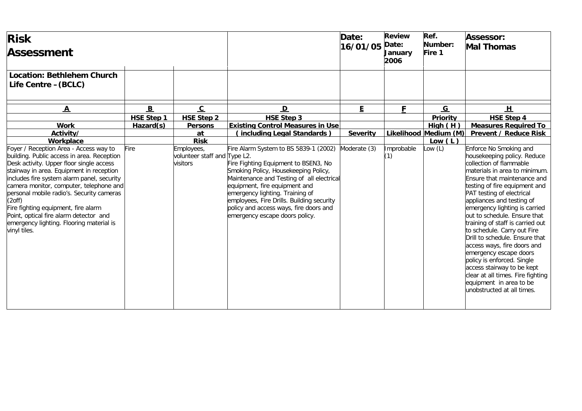| <b>Risk</b><br><b>Assessment</b>                                                                                                                                                                                                                                                                                                                                                                                                                                                       |            |                                                        |                                                                                                                                                                                                                                                                                                                                                                 | Date:<br>16/01/05 | <b>Review</b><br>Date:<br>January<br>2006 | Ref.<br>Number:<br>Fire 1          | Assessor:<br><b>Mal Thomas</b>                                                                                                                                                                                                                                                                                                                                                                                                                                                                                                                                                                                                       |
|----------------------------------------------------------------------------------------------------------------------------------------------------------------------------------------------------------------------------------------------------------------------------------------------------------------------------------------------------------------------------------------------------------------------------------------------------------------------------------------|------------|--------------------------------------------------------|-----------------------------------------------------------------------------------------------------------------------------------------------------------------------------------------------------------------------------------------------------------------------------------------------------------------------------------------------------------------|-------------------|-------------------------------------------|------------------------------------|--------------------------------------------------------------------------------------------------------------------------------------------------------------------------------------------------------------------------------------------------------------------------------------------------------------------------------------------------------------------------------------------------------------------------------------------------------------------------------------------------------------------------------------------------------------------------------------------------------------------------------------|
| <b>Location: Bethlehem Church</b><br>Life Centre -(BCLC)                                                                                                                                                                                                                                                                                                                                                                                                                               |            |                                                        |                                                                                                                                                                                                                                                                                                                                                                 |                   |                                           |                                    |                                                                                                                                                                                                                                                                                                                                                                                                                                                                                                                                                                                                                                      |
| $\underline{\mathbf{A}}$                                                                                                                                                                                                                                                                                                                                                                                                                                                               | B          | $\mathbf{c}$                                           | $\mathbf{D}$                                                                                                                                                                                                                                                                                                                                                    | E                 | F                                         | $\overline{G}$                     | H                                                                                                                                                                                                                                                                                                                                                                                                                                                                                                                                                                                                                                    |
|                                                                                                                                                                                                                                                                                                                                                                                                                                                                                        | HSE Step 1 | <b>HSE Step 2</b>                                      | <b>HSE Step 3</b>                                                                                                                                                                                                                                                                                                                                               |                   |                                           | <b>Priority</b>                    | <b>HSE Step 4</b>                                                                                                                                                                                                                                                                                                                                                                                                                                                                                                                                                                                                                    |
| <b>Work</b>                                                                                                                                                                                                                                                                                                                                                                                                                                                                            | Hazard(s)  | <b>Persons</b>                                         | <b>Existing Control Measures in Use</b>                                                                                                                                                                                                                                                                                                                         |                   |                                           | High(H)                            | <b>Measures Required To</b>                                                                                                                                                                                                                                                                                                                                                                                                                                                                                                                                                                                                          |
| Activity/<br>Workplace                                                                                                                                                                                                                                                                                                                                                                                                                                                                 |            | at<br><b>Risk</b>                                      | including Legal Standards)                                                                                                                                                                                                                                                                                                                                      | <b>Severity</b>   |                                           | Likelihood Medium (M)<br>Low $(L)$ | <b>Prevent / Reduce Risk</b>                                                                                                                                                                                                                                                                                                                                                                                                                                                                                                                                                                                                         |
| Foyer / Reception Area - Access way to<br>building. Public access in area. Reception<br>Desk activity. Upper floor single access<br>stairway in area. Equipment in reception<br>includes fire system alarm panel, security<br>camera monitor, computer, telephone and<br>personal mobile radio's. Security cameras<br>(2 <sup>off</sup> )<br>Fire fighting equipment, fire alarm<br>Point, optical fire alarm detector and<br>emergency lighting. Flooring material is<br>vinyl tiles. | Fire       | Employees,<br>volunteer staff and Type L2.<br>visitors | Fire Alarm System to BS 5839-1 (2002)<br>Fire Fighting Equipment to BSEN3, No<br>Smoking Policy, Housekeeping Policy,<br>Maintenance and Testing of all electrical<br>equipment, fire equipment and<br>emergency lighting. Training of<br>employees, Fire Drills. Building security<br>policy and access ways, fire doors and<br>emergency escape doors policy. | Moderate (3)      | Improbable<br>(1)                         | Low (L)                            | Enforce No Smoking and<br>housekeeping policy. Reduce<br>collection of flammable<br>materials in area to minimum.<br>Ensure that maintenance and<br>testing of fire equipment and<br>PAT testing of electrical<br>appliances and testing of<br>emergency lighting is carried<br>out to schedule. Ensure that<br>training of staff is carried out<br>to schedule. Carry out Fire<br>Drill to schedule. Ensure that<br>access ways, fire doors and<br>emergency escape doors<br>policy is enforced. Single<br>access stairway to be kept<br>clear at all times. Fire fighting<br>equipment in area to be<br>unobstructed at all times. |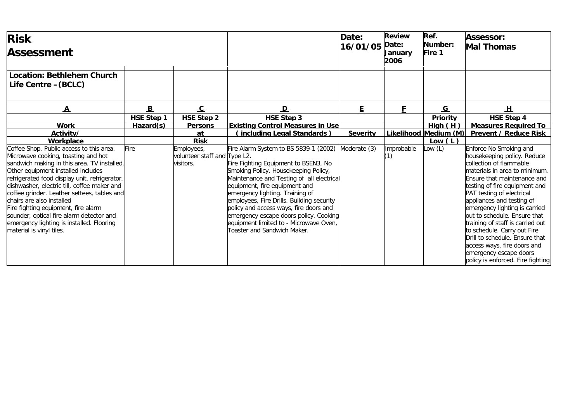| <b>Risk</b><br><b>Assessment</b>                                                                                                                                                                                                                                                                                                                                                                                                                                                                             |                   |                                                         |                                                                                                                                                                                                                                                                                                                                                                                                                                                  | Date:<br>16/01/05 | <b>Review</b><br>Date:<br><b>Januarv</b><br>2006 | Ref.<br>Number:<br>Fire 1 | Assessor:<br><b>Mal Thomas</b>                                                                                                                                                                                                                                                                                                                                                                                                                                                                                  |
|--------------------------------------------------------------------------------------------------------------------------------------------------------------------------------------------------------------------------------------------------------------------------------------------------------------------------------------------------------------------------------------------------------------------------------------------------------------------------------------------------------------|-------------------|---------------------------------------------------------|--------------------------------------------------------------------------------------------------------------------------------------------------------------------------------------------------------------------------------------------------------------------------------------------------------------------------------------------------------------------------------------------------------------------------------------------------|-------------------|--------------------------------------------------|---------------------------|-----------------------------------------------------------------------------------------------------------------------------------------------------------------------------------------------------------------------------------------------------------------------------------------------------------------------------------------------------------------------------------------------------------------------------------------------------------------------------------------------------------------|
| <b>Location: Bethlehem Church</b><br>Life Centre - (BCLC)                                                                                                                                                                                                                                                                                                                                                                                                                                                    |                   |                                                         |                                                                                                                                                                                                                                                                                                                                                                                                                                                  |                   |                                                  |                           |                                                                                                                                                                                                                                                                                                                                                                                                                                                                                                                 |
| $\overline{\mathbf{A}}$                                                                                                                                                                                                                                                                                                                                                                                                                                                                                      | B                 | $\overline{c}$                                          | $\mathbf{D}$                                                                                                                                                                                                                                                                                                                                                                                                                                     | E.                | F                                                | $\overline{G}$            | H                                                                                                                                                                                                                                                                                                                                                                                                                                                                                                               |
|                                                                                                                                                                                                                                                                                                                                                                                                                                                                                                              | <b>HSE Step 1</b> | <b>HSE Step 2</b>                                       | <b>HSE Step 3</b>                                                                                                                                                                                                                                                                                                                                                                                                                                |                   |                                                  | <b>Priority</b>           | <b>HSE Step 4</b>                                                                                                                                                                                                                                                                                                                                                                                                                                                                                               |
| <b>Work</b>                                                                                                                                                                                                                                                                                                                                                                                                                                                                                                  | Hazard(s)         | <b>Persons</b>                                          | <b>Existing Control Measures in Use</b>                                                                                                                                                                                                                                                                                                                                                                                                          |                   |                                                  | High(H)                   | <b>Measures Required To</b>                                                                                                                                                                                                                                                                                                                                                                                                                                                                                     |
| Activity/                                                                                                                                                                                                                                                                                                                                                                                                                                                                                                    |                   | at                                                      | (including Legal Standards)                                                                                                                                                                                                                                                                                                                                                                                                                      | <b>Severity</b>   |                                                  | Likelihood Medium (M)     | <b>Prevent / Reduce Risk</b>                                                                                                                                                                                                                                                                                                                                                                                                                                                                                    |
| Workplace                                                                                                                                                                                                                                                                                                                                                                                                                                                                                                    |                   | <b>Risk</b>                                             |                                                                                                                                                                                                                                                                                                                                                                                                                                                  |                   |                                                  | Low $(L)$                 |                                                                                                                                                                                                                                                                                                                                                                                                                                                                                                                 |
| Coffee Shop. Public access to this area.<br>Microwave cooking, toasting and hot<br>sandwich making in this area. TV installed.<br>Other equipment installed includes<br>refrigerated food display unit, refrigerator,<br>dishwasher, electric till, coffee maker and<br>coffee grinder. Leather settees, tables and<br>chairs are also installed<br>Fire fighting equipment, fire alarm<br>sounder, optical fire alarm detector and<br>emergency lighting is installed. Flooring<br>material is vinyl tiles. | Fire              | Employees,<br>volunteer staff and Type L2.<br>visitors. | Fire Alarm System to BS 5839-1 (2002)<br>Fire Fighting Equipment to BSEN3, No<br>Smoking Policy, Housekeeping Policy,<br>Maintenance and Testing of all electrical<br>equipment, fire equipment and<br>emergency lighting. Training of<br>employees, Fire Drills. Building security<br>policy and access ways, fire doors and<br>emergency escape doors policy. Cooking<br>equipment limited to - Microwave Oven,<br>Toaster and Sandwich Maker. | Moderate (3)      | Improbable<br>(1)                                | ow(L)                     | Enforce No Smoking and<br>housekeeping policy. Reduce<br>collection of flammable<br>materials in area to minimum.<br>Ensure that maintenance and<br>testing of fire equipment and<br>PAT testing of electrical<br>appliances and testing of<br>emergency lighting is carried<br>out to schedule. Ensure that<br>training of staff is carried out<br>to schedule. Carry out Fire<br>Drill to schedule. Ensure that<br>access ways, fire doors and<br>emergency escape doors<br>policy is enforced. Fire fighting |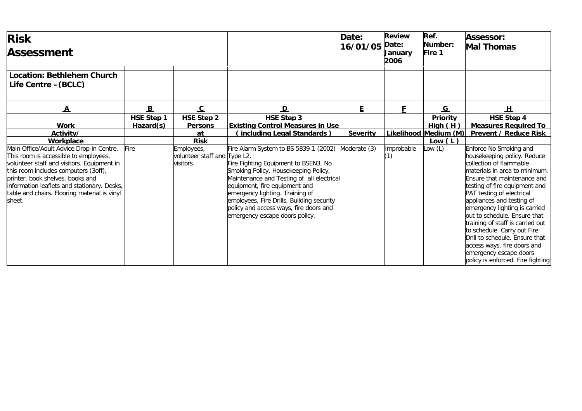| <b>Risk</b><br><b>Assessment</b>                                                                                                                                                                                                                                                                                     |                   |                                                         |                                                                                                                                                                                                                                                                                                                                                                 | Date:<br>16/01/05 | <b>Review</b><br>Date:<br><b>January</b><br>2006 | Ref.<br>Number:<br>Fire 1 | <b>Assessor:</b><br><b>Mal Thomas</b>                                                                                                                                                                                                                                                                                                                                                                                                                                                                           |
|----------------------------------------------------------------------------------------------------------------------------------------------------------------------------------------------------------------------------------------------------------------------------------------------------------------------|-------------------|---------------------------------------------------------|-----------------------------------------------------------------------------------------------------------------------------------------------------------------------------------------------------------------------------------------------------------------------------------------------------------------------------------------------------------------|-------------------|--------------------------------------------------|---------------------------|-----------------------------------------------------------------------------------------------------------------------------------------------------------------------------------------------------------------------------------------------------------------------------------------------------------------------------------------------------------------------------------------------------------------------------------------------------------------------------------------------------------------|
| <b>Location: Bethlehem Church</b><br>Life Centre - (BCLC)                                                                                                                                                                                                                                                            |                   |                                                         |                                                                                                                                                                                                                                                                                                                                                                 |                   |                                                  |                           |                                                                                                                                                                                                                                                                                                                                                                                                                                                                                                                 |
| $\overline{\mathbf{A}}$                                                                                                                                                                                                                                                                                              | $\overline{B}$    | $\overline{c}$                                          | $\mathbf{D}$                                                                                                                                                                                                                                                                                                                                                    | E.                | F                                                | $\overline{G}$            | H                                                                                                                                                                                                                                                                                                                                                                                                                                                                                                               |
|                                                                                                                                                                                                                                                                                                                      | <b>HSE Step 1</b> | <b>HSE Step 2</b>                                       | <b>HSE Step 3</b>                                                                                                                                                                                                                                                                                                                                               |                   |                                                  | <b>Priority</b>           | <b>HSE Step 4</b>                                                                                                                                                                                                                                                                                                                                                                                                                                                                                               |
| <b>Work</b>                                                                                                                                                                                                                                                                                                          | Hazard(s)         | <b>Persons</b>                                          | <b>Existing Control Measures in Use</b>                                                                                                                                                                                                                                                                                                                         |                   |                                                  | High(H)                   | <b>Measures Required To</b>                                                                                                                                                                                                                                                                                                                                                                                                                                                                                     |
| Activity/                                                                                                                                                                                                                                                                                                            |                   | at                                                      | (including Legal Standards)                                                                                                                                                                                                                                                                                                                                     | <b>Severity</b>   |                                                  | Likelihood Medium (M)     | <b>Prevent / Reduce Risk</b>                                                                                                                                                                                                                                                                                                                                                                                                                                                                                    |
| Workplace                                                                                                                                                                                                                                                                                                            |                   | <b>Risk</b>                                             |                                                                                                                                                                                                                                                                                                                                                                 |                   |                                                  | Low $(L)$                 |                                                                                                                                                                                                                                                                                                                                                                                                                                                                                                                 |
| Main Office/Adult Advice Drop-in Centre.<br>This room is accessible to employees,<br>volunteer staff and visitors. Equipment in<br>this room includes computers (3off),<br>printer, book shelves, books and<br>information leaflets and stationary. Desks,<br>table and chairs. Flooring material is vinyl<br>sheet. | Fire              | Employees,<br>volunteer staff and Type L2.<br>visitors. | Fire Alarm System to BS 5839-1 (2002)<br>Fire Fighting Equipment to BSEN3, No<br>Smoking Policy, Housekeeping Policy,<br>Maintenance and Testing of all electrical<br>equipment, fire equipment and<br>emergency lighting. Training of<br>employees, Fire Drills. Building security<br>policy and access ways, fire doors and<br>emergency escape doors policy. | Moderate (3)      | Improbable<br>(1)                                | ow(L)                     | Enforce No Smoking and<br>housekeeping policy. Reduce<br>collection of flammable<br>materials in area to minimum.<br>Ensure that maintenance and<br>testing of fire equipment and<br>PAT testing of electrical<br>appliances and testing of<br>emergency lighting is carried<br>out to schedule. Ensure that<br>training of staff is carried out<br>to schedule. Carry out Fire<br>Drill to schedule. Ensure that<br>access ways, fire doors and<br>emergency escape doors<br>policy is enforced. Fire fighting |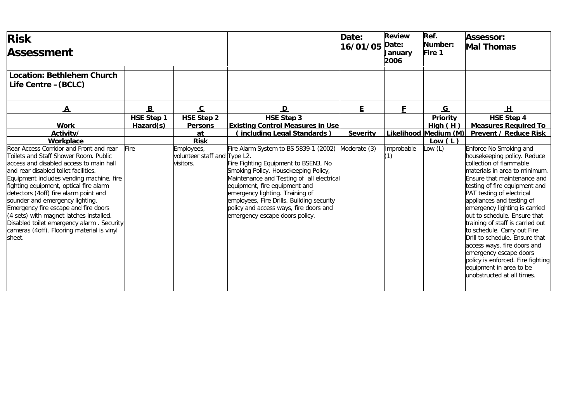| <b>Risk</b><br><b>Assessment</b>                                                                                                                                                                                                                                                                                                                                                                                                                                                                                              |                   |                                                         |                                                                                                                                                                                                                                                                                                                                                                 | Date:<br>16/01/05 | <b>Review</b><br>Date:<br><b>January</b><br>2006 | Ref.<br>Number:<br>Fire 1          | Assessor:<br><b>Mal Thomas</b>                                                                                                                                                                                                                                                                                                                                                                                                                                                                                                                                           |
|-------------------------------------------------------------------------------------------------------------------------------------------------------------------------------------------------------------------------------------------------------------------------------------------------------------------------------------------------------------------------------------------------------------------------------------------------------------------------------------------------------------------------------|-------------------|---------------------------------------------------------|-----------------------------------------------------------------------------------------------------------------------------------------------------------------------------------------------------------------------------------------------------------------------------------------------------------------------------------------------------------------|-------------------|--------------------------------------------------|------------------------------------|--------------------------------------------------------------------------------------------------------------------------------------------------------------------------------------------------------------------------------------------------------------------------------------------------------------------------------------------------------------------------------------------------------------------------------------------------------------------------------------------------------------------------------------------------------------------------|
| <b>Location: Bethlehem Church</b><br>Life Centre - (BCLC)                                                                                                                                                                                                                                                                                                                                                                                                                                                                     |                   |                                                         |                                                                                                                                                                                                                                                                                                                                                                 |                   |                                                  |                                    |                                                                                                                                                                                                                                                                                                                                                                                                                                                                                                                                                                          |
| $\underline{\mathbf{A}}$                                                                                                                                                                                                                                                                                                                                                                                                                                                                                                      | $\mathbf{B}$      | $\overline{c}$                                          | $\mathbf{D}$                                                                                                                                                                                                                                                                                                                                                    | E                 | F                                                | $\overline{G}$                     | H                                                                                                                                                                                                                                                                                                                                                                                                                                                                                                                                                                        |
|                                                                                                                                                                                                                                                                                                                                                                                                                                                                                                                               | <b>HSE Step 1</b> | <b>HSE Step 2</b>                                       | <b>HSE Step 3</b>                                                                                                                                                                                                                                                                                                                                               |                   |                                                  | <b>Priority</b>                    | <b>HSE Step 4</b>                                                                                                                                                                                                                                                                                                                                                                                                                                                                                                                                                        |
| <b>Work</b>                                                                                                                                                                                                                                                                                                                                                                                                                                                                                                                   | Hazard(s)         | <b>Persons</b>                                          | <b>Existing Control Measures in Use</b>                                                                                                                                                                                                                                                                                                                         |                   |                                                  | High(H)                            | <b>Measures Required To</b>                                                                                                                                                                                                                                                                                                                                                                                                                                                                                                                                              |
| Activity/<br>Workplace                                                                                                                                                                                                                                                                                                                                                                                                                                                                                                        |                   | at<br><b>Risk</b>                                       | (including Legal Standards)                                                                                                                                                                                                                                                                                                                                     | <b>Severity</b>   |                                                  | Likelihood Medium (M)<br>Low $(L)$ | <b>Prevent / Reduce Risk</b>                                                                                                                                                                                                                                                                                                                                                                                                                                                                                                                                             |
| Rear Access Corridor and Front and rear<br>Toilets and Staff Shower Room. Public<br>access and disabled access to main hall<br>and rear disabled toilet facilities.<br>Equipment includes vending machine, fire<br>fighting equipment, optical fire alarm<br>detectors (4off) fire alarm point and<br>sounder and emergency lighting.<br>Emergency fire escape and fire doors<br>(4 sets) with magnet latches installed.<br>Disabled toilet emergency alarm. Security<br>cameras (4off). Flooring material is vinyl<br>sheet. | <b>Fire</b>       | Employees,<br>volunteer staff and Type L2.<br>visitors. | Fire Alarm System to BS 5839-1 (2002)<br>Fire Fighting Equipment to BSEN3, No<br>Smoking Policy, Housekeeping Policy,<br>Maintenance and Testing of all electrical<br>equipment, fire equipment and<br>emergency lighting. Training of<br>employees, Fire Drills. Building security<br>policy and access ways, fire doors and<br>emergency escape doors policy. | Moderate (3)      | Improbable<br>(1)                                | .ow (L)                            | Enforce No Smoking and<br>housekeeping policy. Reduce<br>collection of flammable<br>materials in area to minimum.<br>Ensure that maintenance and<br>testing of fire equipment and<br>PAT testing of electrical<br>appliances and testing of<br>emergency lighting is carried<br>out to schedule. Ensure that<br>training of staff is carried out<br>to schedule. Carry out Fire<br>Drill to schedule. Ensure that<br>access ways, fire doors and<br>emergency escape doors<br>policy is enforced. Fire fighting<br>equipment in area to be<br>unobstructed at all times. |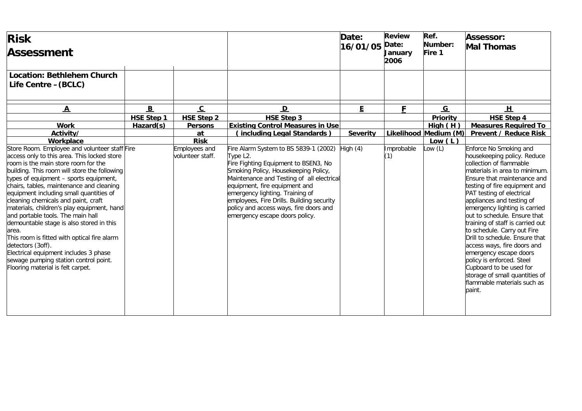| <b>Risk</b><br><b>Assessment</b>                                                                                                                                                                                                                                                                                                                                                                                                                                                                                                                                                                                                                                                               |              |                                   |                                                                                                                                                                                                                                                                                                                                                                                          | Date:<br>16/01/05 | <b>Review</b><br>Date:<br><b>January</b><br>2006 | Ref.<br>Number:<br>Fire 1 | Assessor:<br><b>Mal Thomas</b>                                                                                                                                                                                                                                                                                                                                                                                                                                                                                                                                                                                |
|------------------------------------------------------------------------------------------------------------------------------------------------------------------------------------------------------------------------------------------------------------------------------------------------------------------------------------------------------------------------------------------------------------------------------------------------------------------------------------------------------------------------------------------------------------------------------------------------------------------------------------------------------------------------------------------------|--------------|-----------------------------------|------------------------------------------------------------------------------------------------------------------------------------------------------------------------------------------------------------------------------------------------------------------------------------------------------------------------------------------------------------------------------------------|-------------------|--------------------------------------------------|---------------------------|---------------------------------------------------------------------------------------------------------------------------------------------------------------------------------------------------------------------------------------------------------------------------------------------------------------------------------------------------------------------------------------------------------------------------------------------------------------------------------------------------------------------------------------------------------------------------------------------------------------|
| <b>Location: Bethlehem Church</b><br>Life Centre - (BCLC)                                                                                                                                                                                                                                                                                                                                                                                                                                                                                                                                                                                                                                      |              |                                   |                                                                                                                                                                                                                                                                                                                                                                                          |                   |                                                  |                           |                                                                                                                                                                                                                                                                                                                                                                                                                                                                                                                                                                                                               |
| $\overline{\mathbf{A}}$                                                                                                                                                                                                                                                                                                                                                                                                                                                                                                                                                                                                                                                                        | $\mathbf{B}$ | $\overline{c}$                    | $\mathbf{D}$                                                                                                                                                                                                                                                                                                                                                                             | Ē.                | F                                                | G                         | H                                                                                                                                                                                                                                                                                                                                                                                                                                                                                                                                                                                                             |
|                                                                                                                                                                                                                                                                                                                                                                                                                                                                                                                                                                                                                                                                                                | HSE Step 1   | <b>HSE Step 2</b>                 | <b>HSE Step 3</b>                                                                                                                                                                                                                                                                                                                                                                        |                   |                                                  | Priority                  | <b>HSE Step 4</b>                                                                                                                                                                                                                                                                                                                                                                                                                                                                                                                                                                                             |
| <b>Work</b>                                                                                                                                                                                                                                                                                                                                                                                                                                                                                                                                                                                                                                                                                    | Hazard(s)    | <b>Persons</b>                    | <b>Existing Control Measures in Use</b>                                                                                                                                                                                                                                                                                                                                                  |                   |                                                  | High(H)                   | <b>Measures Required To</b>                                                                                                                                                                                                                                                                                                                                                                                                                                                                                                                                                                                   |
| Activity/                                                                                                                                                                                                                                                                                                                                                                                                                                                                                                                                                                                                                                                                                      |              | at                                | (including Legal Standards)                                                                                                                                                                                                                                                                                                                                                              | <b>Severity</b>   | Likelihood                                       | Medium (M)                | <b>Prevent / Reduce Risk</b>                                                                                                                                                                                                                                                                                                                                                                                                                                                                                                                                                                                  |
| Workplace                                                                                                                                                                                                                                                                                                                                                                                                                                                                                                                                                                                                                                                                                      |              | <b>Risk</b>                       |                                                                                                                                                                                                                                                                                                                                                                                          |                   |                                                  | Low $(L)$                 |                                                                                                                                                                                                                                                                                                                                                                                                                                                                                                                                                                                                               |
| Store Room. Employee and volunteer staff Fire<br>access only to this area. This locked store<br>room is the main store room for the<br>building. This room will store the following<br>types of equipment - sports equipment,<br>chairs, tables, maintenance and cleaning<br>equipment including small quantities of<br>cleaning chemicals and paint, craft<br>materials, children's play equipment, hand<br>and portable tools. The main hall<br>demountable stage is also stored in this<br>area.<br>This room is fitted with optical fire alarm<br>detectors (3off).<br>Electrical equipment includes 3 phase<br>sewage pumping station control point.<br>Flooring material is felt carpet. |              | Employees and<br>volunteer staff. | Fire Alarm System to BS 5839-1 (2002)<br>Type L <sub>2</sub> .<br>Fire Fighting Equipment to BSEN3, No<br>Smoking Policy, Housekeeping Policy,<br>Maintenance and Testing of all electrical<br>equipment, fire equipment and<br>emergency lighting. Training of<br>employees, Fire Drills. Building security<br>policy and access ways, fire doors and<br>emergency escape doors policy. | High $(4)$        | Improbable<br>(1)                                | ow(L)                     | Enforce No Smoking and<br>housekeeping policy. Reduce<br>collection of flammable<br>materials in area to minimum.<br>Ensure that maintenance and<br>testing of fire equipment and<br>PAT testing of electrical<br>appliances and testing of<br>emergency lighting is carried<br>out to schedule. Ensure that<br>training of staff is carried out<br>to schedule. Carry out Fire<br>Drill to schedule. Ensure that<br>access ways, fire doors and<br>emergency escape doors<br>policy is enforced. Steel<br>Cupboard to be used for<br>storage of small quantities of<br>flammable materials such as<br>paint. |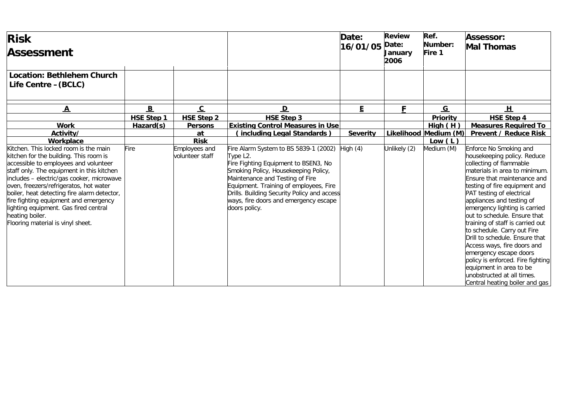| <b>Risk</b><br><b>Assessment</b>                                                                                                                                                                                                                                                                                                                                                                                                                                   |                   |                                                        |                                                                                                                                                                                                                                                                                                                                      | Date:<br>16/01/05 | <b>Review</b><br>Date:<br>January<br>2006 | Ref.<br>Number:<br>Fire 1 | <b>Assessor:</b><br><b>Mal Thomas</b>                                                                                                                                                                                                                                                                                                                                                                                                                                                                                                                                                                      |
|--------------------------------------------------------------------------------------------------------------------------------------------------------------------------------------------------------------------------------------------------------------------------------------------------------------------------------------------------------------------------------------------------------------------------------------------------------------------|-------------------|--------------------------------------------------------|--------------------------------------------------------------------------------------------------------------------------------------------------------------------------------------------------------------------------------------------------------------------------------------------------------------------------------------|-------------------|-------------------------------------------|---------------------------|------------------------------------------------------------------------------------------------------------------------------------------------------------------------------------------------------------------------------------------------------------------------------------------------------------------------------------------------------------------------------------------------------------------------------------------------------------------------------------------------------------------------------------------------------------------------------------------------------------|
| <b>Location: Bethlehem Church</b><br>Life Centre - (BCLC)                                                                                                                                                                                                                                                                                                                                                                                                          |                   |                                                        |                                                                                                                                                                                                                                                                                                                                      |                   |                                           |                           |                                                                                                                                                                                                                                                                                                                                                                                                                                                                                                                                                                                                            |
| $\underline{\mathbf{A}}$                                                                                                                                                                                                                                                                                                                                                                                                                                           | $\overline{B}$    | $\overline{c}$                                         | $\overline{\mathsf{D}}$                                                                                                                                                                                                                                                                                                              | E                 | F                                         | $\overline{G}$            | <u>ਮ</u>                                                                                                                                                                                                                                                                                                                                                                                                                                                                                                                                                                                                   |
|                                                                                                                                                                                                                                                                                                                                                                                                                                                                    | <b>HSE Step 1</b> | <b>HSE Step 2</b>                                      | <b>HSE Step 3</b>                                                                                                                                                                                                                                                                                                                    |                   |                                           | Priority                  | <b>HSE Step 4</b>                                                                                                                                                                                                                                                                                                                                                                                                                                                                                                                                                                                          |
| <b>Work</b>                                                                                                                                                                                                                                                                                                                                                                                                                                                        | Hazard(s)         | <b>Persons</b>                                         | <b>Existing Control Measures in Use</b>                                                                                                                                                                                                                                                                                              |                   |                                           | High(H)                   | <b>Measures Required To</b>                                                                                                                                                                                                                                                                                                                                                                                                                                                                                                                                                                                |
| Activity/                                                                                                                                                                                                                                                                                                                                                                                                                                                          |                   | at                                                     | (including Legal Standards)                                                                                                                                                                                                                                                                                                          | <b>Severity</b>   |                                           | Likelihood Medium (M)     | <b>Prevent / Reduce Risk</b>                                                                                                                                                                                                                                                                                                                                                                                                                                                                                                                                                                               |
| Workplace<br>Kitchen. This locked room is the main<br>kitchen for the building. This room is<br>accessible to employees and volunteer<br>staff only. The equipment in this kitchen<br>includes - electric/gas cooker, microwave<br>oven, freezers/refrigeratos, hot water<br>boiler, heat detecting fire alarm detector,<br>fire fighting equipment and emergency<br>lighting equipment. Gas fired central<br>heating boiler.<br>Flooring material is vinyl sheet. | Fire              | <b>Risk</b><br><b>Employees and</b><br>volunteer staff | Fire Alarm System to BS 5839-1 (2002)<br>Type L <sub>2</sub> .<br>Fire Fighting Equipment to BSEN3, No<br>Smoking Policy, Housekeeping Policy,<br>Maintenance and Testing of Fire<br>Equipment. Training of employees, Fire<br>Drills. Building Security Policy and access<br>ways, fire doors and emergency escape<br>doors policy. | High $(4)$        | Unlikely (2)                              | Low $(L)$<br>Medium (M)   | Enforce No Smoking and<br>housekeeping policy. Reduce<br>collecting of flammable<br>materials in area to minimum.<br>Ensure that maintenance and<br>testing of fire equipment and<br>PAT testing of electrical<br>appliances and testing of<br>emergency lighting is carried<br>out to schedule. Ensure that<br>training of staff is carried out<br>to schedule. Carry out Fire<br>Drill to schedule. Ensure that<br>Access ways, fire doors and<br>emergency escape doors<br>policy is enforced. Fire fighting<br>equipment in area to be<br>unobstructed at all times.<br>Central heating boiler and gas |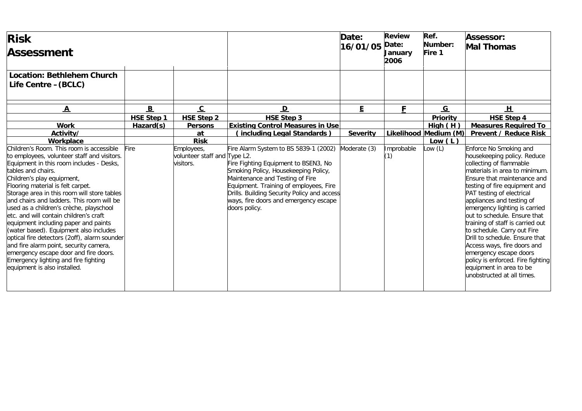| <b>Risk</b><br><b>Assessment</b>                                                                                                                                                                                                                                                                                                                                                                                                                                                                                                                                                                                                                                                                           |                                |                                                         |                                                                                                                                                                                                                                                                                                             | Date:<br>16/01/05 | <b>Review</b><br>Date:<br>January<br>2006 | Ref.<br>Number:<br>Fire 1 | <b>Assessor:</b><br><b>Mal Thomas</b>                                                                                                                                                                                                                                                                                                                                                                                                                                                                                                                                    |
|------------------------------------------------------------------------------------------------------------------------------------------------------------------------------------------------------------------------------------------------------------------------------------------------------------------------------------------------------------------------------------------------------------------------------------------------------------------------------------------------------------------------------------------------------------------------------------------------------------------------------------------------------------------------------------------------------------|--------------------------------|---------------------------------------------------------|-------------------------------------------------------------------------------------------------------------------------------------------------------------------------------------------------------------------------------------------------------------------------------------------------------------|-------------------|-------------------------------------------|---------------------------|--------------------------------------------------------------------------------------------------------------------------------------------------------------------------------------------------------------------------------------------------------------------------------------------------------------------------------------------------------------------------------------------------------------------------------------------------------------------------------------------------------------------------------------------------------------------------|
| <b>Location: Bethlehem Church</b><br>Life Centre - (BCLC)                                                                                                                                                                                                                                                                                                                                                                                                                                                                                                                                                                                                                                                  |                                |                                                         |                                                                                                                                                                                                                                                                                                             |                   |                                           |                           |                                                                                                                                                                                                                                                                                                                                                                                                                                                                                                                                                                          |
| $\underline{\mathbf{A}}$                                                                                                                                                                                                                                                                                                                                                                                                                                                                                                                                                                                                                                                                                   | B                              | $\overline{c}$                                          | $\mathbf{D}$                                                                                                                                                                                                                                                                                                | E.                | F                                         | $\overline{G}$            | H                                                                                                                                                                                                                                                                                                                                                                                                                                                                                                                                                                        |
| <b>Work</b>                                                                                                                                                                                                                                                                                                                                                                                                                                                                                                                                                                                                                                                                                                | <b>HSE Step 1</b><br>Hazard(s) | <b>HSE Step 2</b><br><b>Persons</b>                     | <b>HSE Step 3</b><br><b>Existing Control Measures in Use</b>                                                                                                                                                                                                                                                |                   |                                           | Priority<br>High(H)       | <b>HSE Step 4</b><br><b>Measures Required To</b>                                                                                                                                                                                                                                                                                                                                                                                                                                                                                                                         |
| Activity/                                                                                                                                                                                                                                                                                                                                                                                                                                                                                                                                                                                                                                                                                                  |                                | at                                                      | (including Legal Standards)                                                                                                                                                                                                                                                                                 | <b>Severity</b>   |                                           | Likelihood Medium (M)     | <b>Prevent / Reduce Risk</b>                                                                                                                                                                                                                                                                                                                                                                                                                                                                                                                                             |
| Workplace                                                                                                                                                                                                                                                                                                                                                                                                                                                                                                                                                                                                                                                                                                  |                                | <b>Risk</b>                                             |                                                                                                                                                                                                                                                                                                             |                   |                                           | Low $(L)$                 |                                                                                                                                                                                                                                                                                                                                                                                                                                                                                                                                                                          |
| Children's Room. This room is accessible<br>to employees, volunteer staff and visitors.<br>Equipment in this room includes - Desks,<br>tables and chairs.<br>Children's play equipment,<br>Flooring material is felt carpet.<br>Storage area in this room will store tables<br>and chairs and ladders. This room will be<br>used as a children's crèche, playschool<br>etc. and will contain children's craft<br>equipment including paper and paints<br>(water based). Equipment also includes<br>optical fire detectors (2off), alarm sounder<br>and fire alarm point, security camera,<br>emergency escape door and fire doors.<br>Emergency lighting and fire fighting<br>equipment is also installed. | Fire                           | Employees,<br>volunteer staff and Type L2.<br>visitors. | Fire Alarm System to BS 5839-1 (2002)<br>Fire Fighting Equipment to BSEN3, No<br>Smoking Policy, Housekeeping Policy,<br>Maintenance and Testing of Fire<br>Equipment. Training of employees, Fire<br>Drills. Building Security Policy and access<br>ways, fire doors and emergency escape<br>doors policy. | Moderate (3)      | Improbable<br>(1)                         | Low $(L)$                 | Enforce No Smoking and<br>housekeeping policy. Reduce<br>collecting of flammable<br>materials in area to minimum.<br>Ensure that maintenance and<br>testing of fire equipment and<br>PAT testing of electrical<br>appliances and testing of<br>emergency lighting is carried<br>out to schedule. Ensure that<br>training of staff is carried out<br>to schedule. Carry out Fire<br>Drill to schedule. Ensure that<br>Access ways, fire doors and<br>emergency escape doors<br>policy is enforced. Fire fighting<br>equipment in area to be<br>unobstructed at all times. |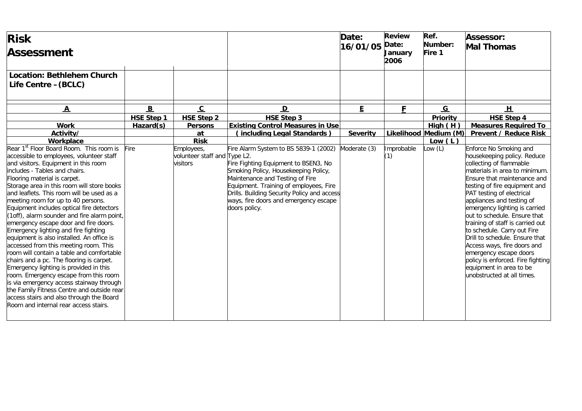| <b>Risk</b><br><b>Assessment</b>                                                                                                                                                                                                                                                                                                                                                                                                                                                                                                                                                                                                                                                                                                                                                                                                                                                                                                                                       |                   |                                                        |                                                                                                                                                                                                                                                                                                             | Date:<br>16/01/05 | <b>Review</b><br>Date:<br>January<br>2006 | Ref.<br>Number:<br>Fire 1 | Assessor:<br><b>Mal Thomas</b>                                                                                                                                                                                                                                                                                                                                                                                                                                                                                                                                           |
|------------------------------------------------------------------------------------------------------------------------------------------------------------------------------------------------------------------------------------------------------------------------------------------------------------------------------------------------------------------------------------------------------------------------------------------------------------------------------------------------------------------------------------------------------------------------------------------------------------------------------------------------------------------------------------------------------------------------------------------------------------------------------------------------------------------------------------------------------------------------------------------------------------------------------------------------------------------------|-------------------|--------------------------------------------------------|-------------------------------------------------------------------------------------------------------------------------------------------------------------------------------------------------------------------------------------------------------------------------------------------------------------|-------------------|-------------------------------------------|---------------------------|--------------------------------------------------------------------------------------------------------------------------------------------------------------------------------------------------------------------------------------------------------------------------------------------------------------------------------------------------------------------------------------------------------------------------------------------------------------------------------------------------------------------------------------------------------------------------|
| <b>Location: Bethlehem Church</b><br>Life Centre - (BCLC)                                                                                                                                                                                                                                                                                                                                                                                                                                                                                                                                                                                                                                                                                                                                                                                                                                                                                                              |                   |                                                        |                                                                                                                                                                                                                                                                                                             |                   |                                           |                           |                                                                                                                                                                                                                                                                                                                                                                                                                                                                                                                                                                          |
| $\mathbf{A}$                                                                                                                                                                                                                                                                                                                                                                                                                                                                                                                                                                                                                                                                                                                                                                                                                                                                                                                                                           | B                 | $\overline{c}$                                         | $\mathbf D$                                                                                                                                                                                                                                                                                                 | E                 | F                                         | $\overline{G}$            | H                                                                                                                                                                                                                                                                                                                                                                                                                                                                                                                                                                        |
|                                                                                                                                                                                                                                                                                                                                                                                                                                                                                                                                                                                                                                                                                                                                                                                                                                                                                                                                                                        | <b>HSE Step 1</b> | <b>HSE Step 2</b>                                      | <b>HSE Step 3</b>                                                                                                                                                                                                                                                                                           |                   |                                           | Priority                  | <b>HSE Step 4</b>                                                                                                                                                                                                                                                                                                                                                                                                                                                                                                                                                        |
| <b>Work</b>                                                                                                                                                                                                                                                                                                                                                                                                                                                                                                                                                                                                                                                                                                                                                                                                                                                                                                                                                            | Hazard(s)         | <b>Persons</b>                                         | <b>Existing Control Measures in Use</b>                                                                                                                                                                                                                                                                     |                   |                                           | High(H)                   | <b>Measures Required To</b>                                                                                                                                                                                                                                                                                                                                                                                                                                                                                                                                              |
| Activity/                                                                                                                                                                                                                                                                                                                                                                                                                                                                                                                                                                                                                                                                                                                                                                                                                                                                                                                                                              |                   | at                                                     | (including Legal Standards)                                                                                                                                                                                                                                                                                 | <b>Severity</b>   |                                           | Likelihood Medium (M)     | <b>Prevent / Reduce Risk</b>                                                                                                                                                                                                                                                                                                                                                                                                                                                                                                                                             |
| Workplace                                                                                                                                                                                                                                                                                                                                                                                                                                                                                                                                                                                                                                                                                                                                                                                                                                                                                                                                                              |                   | <b>Risk</b>                                            |                                                                                                                                                                                                                                                                                                             |                   |                                           | Low $(L)$                 |                                                                                                                                                                                                                                                                                                                                                                                                                                                                                                                                                                          |
| Rear 1 <sup>st</sup> Floor Board Room. This room is<br>accessible to employees, volunteer staff<br>and visitors. Equipment in this room<br>includes - Tables and chairs.<br>Flooring material is carpet.<br>Storage area in this room will store books<br>and leaflets. This room will be used as a<br>meeting room for up to 40 persons.<br>Equipment includes optical fire detectors<br>(1off), alarm sounder and fire alarm point<br>emergency escape door and fire doors.<br>Emergency lighting and fire fighting<br>equipment is also installed. An office is<br>accessed from this meeting room. This<br>room will contain a table and comfortable<br>chairs and a pc. The flooring is carpet.<br>Emergency lighting is provided in this<br>room. Emergency escape from this room<br>is via emergency access stairway through<br>the Family Fitness Centre and outside rear<br>access stairs and also through the Board<br>Room and internal rear access stairs. | Fire              | Employees,<br>volunteer staff and Type L2.<br>visitors | Fire Alarm System to BS 5839-1 (2002)<br>Fire Fighting Equipment to BSEN3, No<br>Smoking Policy, Housekeeping Policy,<br>Maintenance and Testing of Fire<br>Equipment. Training of employees, Fire<br>Drills. Building Security Policy and access<br>ways, fire doors and emergency escape<br>doors policy. | Moderate (3)      | Improbable<br>(1)                         | low(L)                    | Enforce No Smoking and<br>housekeeping policy. Reduce<br>collecting of flammable<br>materials in area to minimum.<br>Ensure that maintenance and<br>testing of fire equipment and<br>PAT testing of electrical<br>appliances and testing of<br>emergency lighting is carried<br>out to schedule. Ensure that<br>training of staff is carried out<br>to schedule. Carry out Fire<br>Drill to schedule. Ensure that<br>Access ways, fire doors and<br>emergency escape doors<br>policy is enforced. Fire fighting<br>equipment in area to be<br>unobstructed at all times. |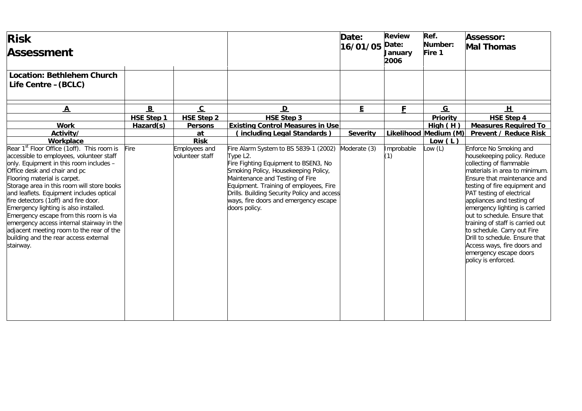| <b>Risk</b><br>Assessment                                                                                                                                                                                                                                                                                                                                                                                                                                                                                                                                                         |                          |                                         |                                                                                                                                                                                                                                                                                                                                     | Date:<br>16/01/05 | <b>Review</b><br>Date:<br><b>January</b><br>2006 | Ref.<br>Number:<br>Fire 1 | Assessor:<br><b>Mal Thomas</b>                                                                                                                                                                                                                                                                                                                                                                                                                                                                    |
|-----------------------------------------------------------------------------------------------------------------------------------------------------------------------------------------------------------------------------------------------------------------------------------------------------------------------------------------------------------------------------------------------------------------------------------------------------------------------------------------------------------------------------------------------------------------------------------|--------------------------|-----------------------------------------|-------------------------------------------------------------------------------------------------------------------------------------------------------------------------------------------------------------------------------------------------------------------------------------------------------------------------------------|-------------------|--------------------------------------------------|---------------------------|---------------------------------------------------------------------------------------------------------------------------------------------------------------------------------------------------------------------------------------------------------------------------------------------------------------------------------------------------------------------------------------------------------------------------------------------------------------------------------------------------|
| Location: Bethlehem Church<br>Life Centre - (BCLC)                                                                                                                                                                                                                                                                                                                                                                                                                                                                                                                                |                          |                                         |                                                                                                                                                                                                                                                                                                                                     |                   |                                                  |                           |                                                                                                                                                                                                                                                                                                                                                                                                                                                                                                   |
| $\overline{\mathbf{A}}$                                                                                                                                                                                                                                                                                                                                                                                                                                                                                                                                                           | $\underline{\mathbf{B}}$ | $\overline{c}$                          | $\overline{\mathsf{D}}$                                                                                                                                                                                                                                                                                                             | E.                | F                                                | $\underline{G}$           | H                                                                                                                                                                                                                                                                                                                                                                                                                                                                                                 |
|                                                                                                                                                                                                                                                                                                                                                                                                                                                                                                                                                                                   | <b>HSE Step 1</b>        | <b>HSE Step 2</b>                       | <b>HSE Step 3</b>                                                                                                                                                                                                                                                                                                                   |                   |                                                  | Priority                  | <b>HSE Step 4</b>                                                                                                                                                                                                                                                                                                                                                                                                                                                                                 |
| <b>Work</b>                                                                                                                                                                                                                                                                                                                                                                                                                                                                                                                                                                       | Hazard(s)                | <b>Persons</b>                          | <b>Existing Control Measures in Use</b>                                                                                                                                                                                                                                                                                             |                   |                                                  | High(H)                   | <b>Measures Required To</b>                                                                                                                                                                                                                                                                                                                                                                                                                                                                       |
| Activity/                                                                                                                                                                                                                                                                                                                                                                                                                                                                                                                                                                         |                          | at                                      | (including Legal Standards)                                                                                                                                                                                                                                                                                                         | <b>Severity</b>   |                                                  | Likelihood Medium (M)     | <b>Prevent / Reduce Risk</b>                                                                                                                                                                                                                                                                                                                                                                                                                                                                      |
| Workplace                                                                                                                                                                                                                                                                                                                                                                                                                                                                                                                                                                         |                          | <b>Risk</b>                             |                                                                                                                                                                                                                                                                                                                                     |                   |                                                  | Low $(L)$                 |                                                                                                                                                                                                                                                                                                                                                                                                                                                                                                   |
| Rear 1 <sup>st</sup> Floor Office (1off). This room is<br>accessible to employees, volunteer staff<br>only. Equipment in this room includes -<br>Office desk and chair and pc<br>Flooring material is carpet.<br>Storage area in this room will store books<br>and leaflets. Equipment includes optical<br>fire detectors (1off) and fire door.<br>Emergency lighting is also installed.<br>Emergency escape from this room is via<br>emergency access internal stairway in the<br>adjacent meeting room to the rear of the<br>building and the rear access external<br>stairway. | <b>Fire</b>              | <b>Employees and</b><br>volunteer staff | ire Alarm System to BS 5839-1 (2002)<br>Type L <sub>2</sub> .<br>Fire Fighting Equipment to BSEN3, No<br>Smoking Policy, Housekeeping Policy,<br>Maintenance and Testing of Fire<br>Equipment. Training of employees, Fire<br>Drills. Building Security Policy and access<br>ways, fire doors and emergency escape<br>doors policy. | Moderate (3)      | Improbable<br>(1)                                | low(L)                    | Enforce No Smoking and<br>housekeeping policy. Reduce<br>collecting of flammable<br>materials in area to minimum.<br>Ensure that maintenance and<br>testing of fire equipment and<br>PAT testing of electrical<br>appliances and testing of<br>emergency lighting is carried<br>out to schedule. Ensure that<br>training of staff is carried out<br>to schedule. Carry out Fire<br>Drill to schedule. Ensure that<br>Access ways, fire doors and<br>emergency escape doors<br>policy is enforced. |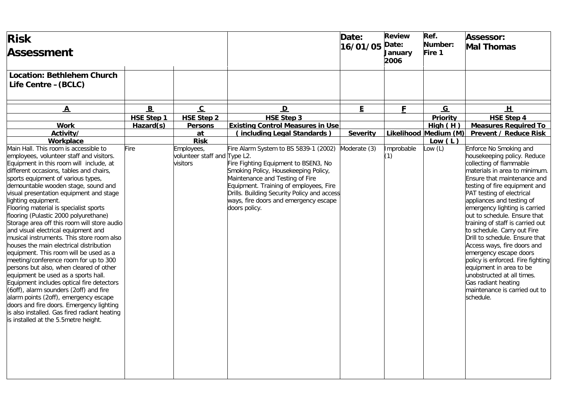| <b>Risk</b><br><b>Assessment</b>                                                                                                                                                                                                                                                                                                                                                                                                                                                                                                                                                                                                                                                                                                                                                                                                                                                                                                                                                                                                  |                   |                                                        |                                                                                                                                                                                                                                                                                                             | Date:<br>16/01/05 | <b>Review</b><br>Date:<br><b>January</b><br>2006 | Ref.<br>Number:<br>Fire 1 | <b>Assessor:</b><br><b>Mal Thomas</b>                                                                                                                                                                                                                                                                                                                                                                                                                                                                                                                                                                                                         |
|-----------------------------------------------------------------------------------------------------------------------------------------------------------------------------------------------------------------------------------------------------------------------------------------------------------------------------------------------------------------------------------------------------------------------------------------------------------------------------------------------------------------------------------------------------------------------------------------------------------------------------------------------------------------------------------------------------------------------------------------------------------------------------------------------------------------------------------------------------------------------------------------------------------------------------------------------------------------------------------------------------------------------------------|-------------------|--------------------------------------------------------|-------------------------------------------------------------------------------------------------------------------------------------------------------------------------------------------------------------------------------------------------------------------------------------------------------------|-------------------|--------------------------------------------------|---------------------------|-----------------------------------------------------------------------------------------------------------------------------------------------------------------------------------------------------------------------------------------------------------------------------------------------------------------------------------------------------------------------------------------------------------------------------------------------------------------------------------------------------------------------------------------------------------------------------------------------------------------------------------------------|
| <b>Location: Bethlehem Church</b><br>Life Centre - (BCLC)                                                                                                                                                                                                                                                                                                                                                                                                                                                                                                                                                                                                                                                                                                                                                                                                                                                                                                                                                                         |                   |                                                        |                                                                                                                                                                                                                                                                                                             |                   |                                                  |                           |                                                                                                                                                                                                                                                                                                                                                                                                                                                                                                                                                                                                                                               |
| $\mathbf{A}$                                                                                                                                                                                                                                                                                                                                                                                                                                                                                                                                                                                                                                                                                                                                                                                                                                                                                                                                                                                                                      | B                 | $\overline{c}$                                         | $\mathbf{D}$                                                                                                                                                                                                                                                                                                | E                 | F                                                | G                         | H                                                                                                                                                                                                                                                                                                                                                                                                                                                                                                                                                                                                                                             |
|                                                                                                                                                                                                                                                                                                                                                                                                                                                                                                                                                                                                                                                                                                                                                                                                                                                                                                                                                                                                                                   | <b>HSE Step 1</b> |                                                        |                                                                                                                                                                                                                                                                                                             |                   |                                                  |                           |                                                                                                                                                                                                                                                                                                                                                                                                                                                                                                                                                                                                                                               |
| <b>Work</b>                                                                                                                                                                                                                                                                                                                                                                                                                                                                                                                                                                                                                                                                                                                                                                                                                                                                                                                                                                                                                       | Hazard(s)         | <b>HSE Step 2</b>                                      | <b>HSE Step 3</b><br><b>Existing Control Measures in Use</b>                                                                                                                                                                                                                                                |                   |                                                  | Priority<br>High(H)       | <b>HSE Step 4</b><br><b>Measures Required To</b>                                                                                                                                                                                                                                                                                                                                                                                                                                                                                                                                                                                              |
| Activity/                                                                                                                                                                                                                                                                                                                                                                                                                                                                                                                                                                                                                                                                                                                                                                                                                                                                                                                                                                                                                         |                   | <b>Persons</b><br>at                                   | (including Legal Standards)                                                                                                                                                                                                                                                                                 | <b>Severity</b>   |                                                  | Likelihood Medium (M)     | <b>Prevent / Reduce Risk</b>                                                                                                                                                                                                                                                                                                                                                                                                                                                                                                                                                                                                                  |
| Workplace                                                                                                                                                                                                                                                                                                                                                                                                                                                                                                                                                                                                                                                                                                                                                                                                                                                                                                                                                                                                                         |                   | <b>Risk</b>                                            |                                                                                                                                                                                                                                                                                                             |                   |                                                  | Low $(L)$                 |                                                                                                                                                                                                                                                                                                                                                                                                                                                                                                                                                                                                                                               |
| Main Hall. This room is accessible to<br>employees, volunteer staff and visitors.<br>Equipment in this room will include, at<br>different occasions, tables and chairs,<br>sports equipment of various types,<br>demountable wooden stage, sound and<br>visual presentation equipment and stage<br>lighting equipment.<br>Flooring material is specialist sports<br>flooring (Pulastic 2000 polyurethane)<br>Storage area off this room will store audio<br>and visual electrical equipment and<br>musical instruments. This store room also<br>houses the main electrical distribution<br>equipment. This room will be used as a<br>meeting/conference room for up to 300<br>persons but also, when cleared of other<br>equipment be used as a sports hall.<br>Equipment includes optical fire detectors<br>(6off), alarm sounders (2off) and fire<br>alarm points (2off), emergency escape<br>doors and fire doors. Emergency lighting<br>is also installed. Gas fired radiant heating<br>is installed at the 5.5 metre height. | Fire              | Employees,<br>volunteer staff and Type L2.<br>visitors | Fire Alarm System to BS 5839-1 (2002)<br>Fire Fighting Equipment to BSEN3, No<br>Smoking Policy, Housekeeping Policy,<br>Maintenance and Testing of Fire<br>Equipment. Training of employees, Fire<br>Drills. Building Security Policy and access<br>ways, fire doors and emergency escape<br>doors policy. | Moderate (3)      | Improbable<br>(1)                                | ow(L)                     | Enforce No Smoking and<br>housekeeping policy. Reduce<br>collecting of flammable<br>materials in area to minimum.<br>Ensure that maintenance and<br>testing of fire equipment and<br>PAT testing of electrical<br>appliances and testing of<br>emergency lighting is carried<br>out to schedule. Ensure that<br>training of staff is carried out<br>to schedule. Carry out Fire<br>Drill to schedule. Ensure that<br>Access ways, fire doors and<br>emergency escape doors<br>policy is enforced. Fire fighting<br>equipment in area to be<br>unobstructed at all times.<br>Gas radiant heating<br>maintenance is carried out to<br>schedule. |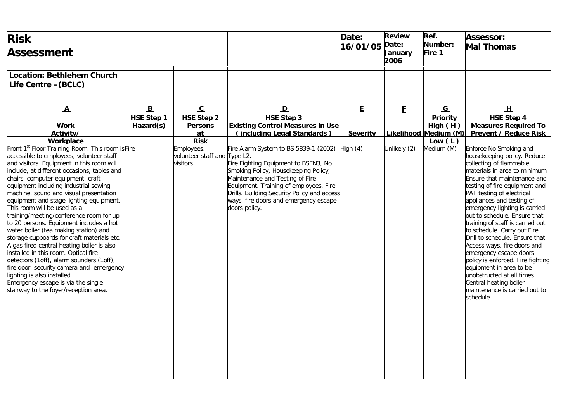| <b>Risk</b><br><b>Assessment</b>                                                                                                                                                                                                                                                                                                                                                                                                                                                                                                                                                                                                                                                                                                                                                                                                                                                |                   |                                                        |                                                                                                                                                                                                                                                                                                             | Date:<br>16/01/05 | <b>Review</b><br>Date:<br>January<br>2006 | Ref.<br>Number:<br>Fire 1 | <b>Assessor:</b><br><b>Mal Thomas</b>                                                                                                                                                                                                                                                                                                                                                                                                                                                                                                                                                                                                            |
|---------------------------------------------------------------------------------------------------------------------------------------------------------------------------------------------------------------------------------------------------------------------------------------------------------------------------------------------------------------------------------------------------------------------------------------------------------------------------------------------------------------------------------------------------------------------------------------------------------------------------------------------------------------------------------------------------------------------------------------------------------------------------------------------------------------------------------------------------------------------------------|-------------------|--------------------------------------------------------|-------------------------------------------------------------------------------------------------------------------------------------------------------------------------------------------------------------------------------------------------------------------------------------------------------------|-------------------|-------------------------------------------|---------------------------|--------------------------------------------------------------------------------------------------------------------------------------------------------------------------------------------------------------------------------------------------------------------------------------------------------------------------------------------------------------------------------------------------------------------------------------------------------------------------------------------------------------------------------------------------------------------------------------------------------------------------------------------------|
| <b>Location: Bethlehem Church</b><br>Life Centre - (BCLC)                                                                                                                                                                                                                                                                                                                                                                                                                                                                                                                                                                                                                                                                                                                                                                                                                       |                   |                                                        |                                                                                                                                                                                                                                                                                                             |                   |                                           |                           |                                                                                                                                                                                                                                                                                                                                                                                                                                                                                                                                                                                                                                                  |
| $\overline{\mathbf{A}}$                                                                                                                                                                                                                                                                                                                                                                                                                                                                                                                                                                                                                                                                                                                                                                                                                                                         | B                 | $\overline{c}$                                         | D                                                                                                                                                                                                                                                                                                           | E                 | F                                         | G                         | 旦                                                                                                                                                                                                                                                                                                                                                                                                                                                                                                                                                                                                                                                |
|                                                                                                                                                                                                                                                                                                                                                                                                                                                                                                                                                                                                                                                                                                                                                                                                                                                                                 | <b>HSE Step 1</b> | <b>HSE Step 2</b>                                      | <b>HSE Step 3</b>                                                                                                                                                                                                                                                                                           |                   |                                           | Priority                  | <b>HSE Step 4</b>                                                                                                                                                                                                                                                                                                                                                                                                                                                                                                                                                                                                                                |
| <b>Work</b>                                                                                                                                                                                                                                                                                                                                                                                                                                                                                                                                                                                                                                                                                                                                                                                                                                                                     | Hazard(s)         | <b>Persons</b>                                         | <b>Existing Control Measures in Use</b>                                                                                                                                                                                                                                                                     |                   |                                           | High(H)                   | <b>Measures Required To</b>                                                                                                                                                                                                                                                                                                                                                                                                                                                                                                                                                                                                                      |
| Activity/                                                                                                                                                                                                                                                                                                                                                                                                                                                                                                                                                                                                                                                                                                                                                                                                                                                                       |                   | at                                                     | (including Legal Standards)                                                                                                                                                                                                                                                                                 | <b>Severity</b>   |                                           | Likelihood Medium (M)     | <b>Prevent / Reduce Risk</b>                                                                                                                                                                                                                                                                                                                                                                                                                                                                                                                                                                                                                     |
| Workplace                                                                                                                                                                                                                                                                                                                                                                                                                                                                                                                                                                                                                                                                                                                                                                                                                                                                       |                   | <b>Risk</b>                                            |                                                                                                                                                                                                                                                                                                             |                   |                                           | Low $(L)$                 |                                                                                                                                                                                                                                                                                                                                                                                                                                                                                                                                                                                                                                                  |
| Front 1 <sup>st</sup> Floor Training Room. This room is Fire<br>accessible to employees, volunteer staff<br>and visitors. Equipment in this room will<br>include, at different occasions, tables and<br>chairs, computer equipment, craft<br>equipment including industrial sewing<br>machine, sound and visual presentation<br>equipment and stage lighting equipment.<br>This room will be used as a<br>training/meeting/conference room for up<br>to 20 persons. Equipment includes a hot<br>water boiler (tea making station) and<br>storage cupboards for craft materials etc.<br>A gas fired central heating boiler is also<br>installed in this room. Optical fire<br>detectors (1off), alarm sounders (1off),<br>fire door, security camera and emergency<br>lighting is also installed.<br>Emergency escape is via the single<br>stairway to the foyer/reception area. |                   | Employees,<br>volunteer staff and Type L2.<br>visitors | Fire Alarm System to BS 5839-1 (2002)<br>Fire Fighting Equipment to BSEN3, No<br>Smoking Policy, Housekeeping Policy,<br>Maintenance and Testing of Fire<br>Equipment. Training of employees, Fire<br>Drills. Building Security Policy and access<br>ways, fire doors and emergency escape<br>doors policy. | High $(4)$        | Unlikely (2)                              | Medium (M)                | Enforce No Smoking and<br>housekeeping policy. Reduce<br>collecting of flammable<br>materials in area to minimum.<br>Ensure that maintenance and<br>testing of fire equipment and<br>PAT testing of electrical<br>appliances and testing of<br>emergency lighting is carried<br>out to schedule. Ensure that<br>training of staff is carried out<br>to schedule. Carry out Fire<br>Drill to schedule. Ensure that<br>Access ways, fire doors and<br>emergency escape doors<br>policy is enforced. Fire fighting<br>equipment in area to be<br>unobstructed at all times.<br>Central heating boiler<br>maintenance is carried out to<br>schedule. |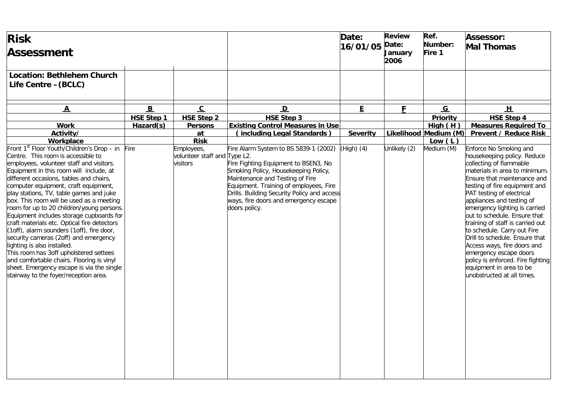| <b>Risk</b><br><b>Assessment</b>                                                                                                                                                                                                                                                                                                                                                                                                                                                                                                                                                                                                                                                                                                                                                            |                   |                                                        |                                                                                                                                                                                                                                                                                                             | Date:<br>16/01/05 | <b>Review</b><br>Date:<br>January<br>2006 | Ref.<br>Number:<br>Fire 1 | <b>Assessor:</b><br><b>Mal Thomas</b>                                                                                                                                                                                                                                                                                                                                                                                                                                                                                                                                    |
|---------------------------------------------------------------------------------------------------------------------------------------------------------------------------------------------------------------------------------------------------------------------------------------------------------------------------------------------------------------------------------------------------------------------------------------------------------------------------------------------------------------------------------------------------------------------------------------------------------------------------------------------------------------------------------------------------------------------------------------------------------------------------------------------|-------------------|--------------------------------------------------------|-------------------------------------------------------------------------------------------------------------------------------------------------------------------------------------------------------------------------------------------------------------------------------------------------------------|-------------------|-------------------------------------------|---------------------------|--------------------------------------------------------------------------------------------------------------------------------------------------------------------------------------------------------------------------------------------------------------------------------------------------------------------------------------------------------------------------------------------------------------------------------------------------------------------------------------------------------------------------------------------------------------------------|
| <b>Location: Bethlehem Church</b><br>Life Centre - (BCLC)                                                                                                                                                                                                                                                                                                                                                                                                                                                                                                                                                                                                                                                                                                                                   |                   |                                                        |                                                                                                                                                                                                                                                                                                             |                   |                                           |                           |                                                                                                                                                                                                                                                                                                                                                                                                                                                                                                                                                                          |
| $\overline{\mathbf{A}}$                                                                                                                                                                                                                                                                                                                                                                                                                                                                                                                                                                                                                                                                                                                                                                     | B                 | $\overline{c}$                                         | $\mathbf{D}$                                                                                                                                                                                                                                                                                                | E.                | F                                         | G                         | H                                                                                                                                                                                                                                                                                                                                                                                                                                                                                                                                                                        |
|                                                                                                                                                                                                                                                                                                                                                                                                                                                                                                                                                                                                                                                                                                                                                                                             | <b>HSE Step 1</b> | <b>HSE Step 2</b>                                      | <b>HSE Step 3</b>                                                                                                                                                                                                                                                                                           |                   |                                           | Priority                  | <b>HSE Step 4</b>                                                                                                                                                                                                                                                                                                                                                                                                                                                                                                                                                        |
| <b>Work</b>                                                                                                                                                                                                                                                                                                                                                                                                                                                                                                                                                                                                                                                                                                                                                                                 | Hazard(s)         | <b>Persons</b>                                         | <b>Existing Control Measures in Use</b>                                                                                                                                                                                                                                                                     |                   |                                           | High(H)                   | <b>Measures Required To</b>                                                                                                                                                                                                                                                                                                                                                                                                                                                                                                                                              |
| Activity/                                                                                                                                                                                                                                                                                                                                                                                                                                                                                                                                                                                                                                                                                                                                                                                   |                   | at                                                     | (including Legal Standards)                                                                                                                                                                                                                                                                                 | <b>Severity</b>   |                                           | Likelihood Medium (M)     | <b>Prevent / Reduce Risk</b>                                                                                                                                                                                                                                                                                                                                                                                                                                                                                                                                             |
| Workplace                                                                                                                                                                                                                                                                                                                                                                                                                                                                                                                                                                                                                                                                                                                                                                                   |                   | <b>Risk</b>                                            |                                                                                                                                                                                                                                                                                                             |                   |                                           | Low $(L)$                 |                                                                                                                                                                                                                                                                                                                                                                                                                                                                                                                                                                          |
| Front 1st Floor Youth/Children's Drop - in<br>Centre. This room is accessible to<br>employees, volunteer staff and visitors.<br>Equipment in this room will include, at<br>different occasions, tables and chairs,<br>computer equipment, craft equipment,<br>play stations, TV, table games and juke<br>box. This room will be used as a meeting<br>room for up to 20 children/young persons.<br>Equipment includes storage cupboards for<br>craft materials etc. Optical fire detectors<br>(1off), alarm sounders (1off), fire door,<br>security cameras (2off) and emergency<br>lighting is also installed.<br>This room has 3off upholstered settees<br>and comfortable chairs. Flooring is vinyl<br>sheet. Emergency escape is via the single<br>stairway to the foyer/reception area. | Fire              | Employees,<br>volunteer staff and Type L2.<br>visitors | Fire Alarm System to BS 5839-1 (2002)<br>Fire Fighting Equipment to BSEN3, No<br>Smoking Policy, Housekeeping Policy,<br>Maintenance and Testing of Fire<br>Equipment. Training of employees, Fire<br>Drills. Building Security Policy and access<br>ways, fire doors and emergency escape<br>doors policy. | $(High)$ (4)      | Unlikely (2)                              | Medium (M)                | Enforce No Smoking and<br>housekeeping policy. Reduce<br>collecting of flammable<br>materials in area to minimum.<br>Ensure that maintenance and<br>testing of fire equipment and<br>PAT testing of electrical<br>appliances and testing of<br>emergency lighting is carried<br>out to schedule. Ensure that<br>training of staff is carried out<br>to schedule. Carry out Fire<br>Drill to schedule. Ensure that<br>Access ways, fire doors and<br>emergency escape doors<br>policy is enforced. Fire fighting<br>equipment in area to be<br>unobstructed at all times. |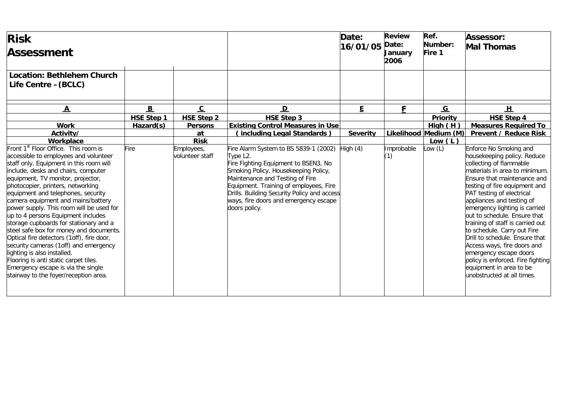| <b>Risk</b><br><b>Assessment</b>                                                                                                                                                                                                                                                                                                                                                                                                                                                                                                                                                                                                                                                                                                                      |                          |                               |                                                                                                                                                                                                                                                                                                                         | Date:<br>16/01/05 | <b>Review</b><br>Date:<br><b>January</b><br>2006 | Ref.<br>Number:<br>Fire 1 | <b>Assessor:</b><br><b>Mal Thomas</b>                                                                                                                                                                                                                                                                                                                                                                                                                                                                                                                                    |
|-------------------------------------------------------------------------------------------------------------------------------------------------------------------------------------------------------------------------------------------------------------------------------------------------------------------------------------------------------------------------------------------------------------------------------------------------------------------------------------------------------------------------------------------------------------------------------------------------------------------------------------------------------------------------------------------------------------------------------------------------------|--------------------------|-------------------------------|-------------------------------------------------------------------------------------------------------------------------------------------------------------------------------------------------------------------------------------------------------------------------------------------------------------------------|-------------------|--------------------------------------------------|---------------------------|--------------------------------------------------------------------------------------------------------------------------------------------------------------------------------------------------------------------------------------------------------------------------------------------------------------------------------------------------------------------------------------------------------------------------------------------------------------------------------------------------------------------------------------------------------------------------|
| <b>Location: Bethlehem Church</b><br>Life Centre - (BCLC)                                                                                                                                                                                                                                                                                                                                                                                                                                                                                                                                                                                                                                                                                             |                          |                               |                                                                                                                                                                                                                                                                                                                         |                   |                                                  |                           |                                                                                                                                                                                                                                                                                                                                                                                                                                                                                                                                                                          |
| $\overline{\mathbf{A}}$                                                                                                                                                                                                                                                                                                                                                                                                                                                                                                                                                                                                                                                                                                                               | $\underline{\mathbf{B}}$ | $\overline{c}$                | $\mathbf{D}$                                                                                                                                                                                                                                                                                                            | E.                | F                                                | $\underline{G}$           | H                                                                                                                                                                                                                                                                                                                                                                                                                                                                                                                                                                        |
|                                                                                                                                                                                                                                                                                                                                                                                                                                                                                                                                                                                                                                                                                                                                                       | <b>HSE Step 1</b>        | <b>HSE Step 2</b>             | <b>HSE Step 3</b>                                                                                                                                                                                                                                                                                                       |                   |                                                  | <b>Priority</b>           | <b>HSE Step 4</b>                                                                                                                                                                                                                                                                                                                                                                                                                                                                                                                                                        |
| <b>Work</b>                                                                                                                                                                                                                                                                                                                                                                                                                                                                                                                                                                                                                                                                                                                                           | Hazard(s)                | <b>Persons</b>                | <b>Existing Control Measures in Use</b>                                                                                                                                                                                                                                                                                 |                   |                                                  | High(H)                   | <b>Measures Required To</b>                                                                                                                                                                                                                                                                                                                                                                                                                                                                                                                                              |
| Activity/                                                                                                                                                                                                                                                                                                                                                                                                                                                                                                                                                                                                                                                                                                                                             |                          | at                            | (including Legal Standards)                                                                                                                                                                                                                                                                                             | <b>Severity</b>   |                                                  | Likelihood Medium (M)     | <b>Prevent / Reduce Risk</b>                                                                                                                                                                                                                                                                                                                                                                                                                                                                                                                                             |
| Workplace                                                                                                                                                                                                                                                                                                                                                                                                                                                                                                                                                                                                                                                                                                                                             |                          | <b>Risk</b>                   |                                                                                                                                                                                                                                                                                                                         |                   |                                                  | Low $(L)$                 |                                                                                                                                                                                                                                                                                                                                                                                                                                                                                                                                                                          |
| Front 1 <sup>st</sup> Floor Office. This room is<br>accessible to employees and volunteer<br>staff only. Equipment in this room will<br>include, desks and chairs, computer<br>equipment, TV monitor, projector,<br>photocopier, printers, networking<br>equipment and telephones, security<br>camera equipment and mains/battery<br>power supply. This room will be used for<br>up to 4 persons Equipment includes<br>storage cupboards for stationary and a<br>steel safe box for money and documents.<br>Optical fire detectors (1off), fire door,<br>security cameras (1off) and emergency<br>lighting is also installed.<br>Flooring is anti static carpet tiles.<br>Emergency escape is via the single<br>stairway to the foyer/reception area. | Fire                     | Employees,<br>volunteer staff | Fire Alarm System to BS 5839-1 (2002)<br>Type L2.<br>Fire Fighting Equipment to BSEN3, No<br>Smoking Policy, Housekeeping Policy,<br>Maintenance and Testing of Fire<br>Equipment. Training of employees, Fire<br>Drills. Building Security Policy and access<br>ways, fire doors and emergency escape<br>doors policy. | High $(4)$        | Improbable<br>(1)                                | Low (L)                   | Enforce No Smoking and<br>housekeeping policy. Reduce<br>collecting of flammable<br>materials in area to minimum.<br>Ensure that maintenance and<br>testing of fire equipment and<br>PAT testing of electrical<br>appliances and testing of<br>emergency lighting is carried<br>out to schedule. Ensure that<br>training of staff is carried out<br>to schedule. Carry out Fire<br>Drill to schedule. Ensure that<br>Access ways, fire doors and<br>emergency escape doors<br>policy is enforced. Fire fighting<br>equipment in area to be<br>unobstructed at all times. |